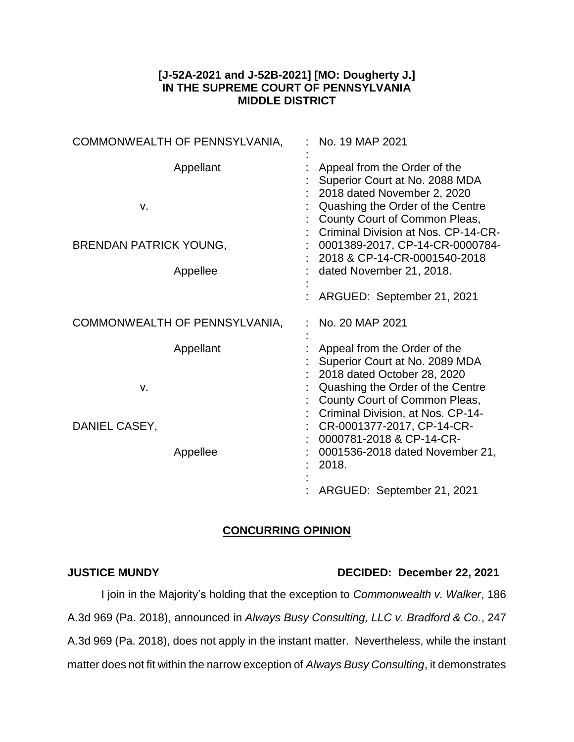## **[J-52A-2021 and J-52B-2021] [MO: Dougherty J.] IN THE SUPREME COURT OF PENNSYLVANIA MIDDLE DISTRICT**

| COMMONWEALTH OF PENNSYLVANIA,                                | No. 19 MAP 2021                                                                                                                                                                                                                                                                                               |
|--------------------------------------------------------------|---------------------------------------------------------------------------------------------------------------------------------------------------------------------------------------------------------------------------------------------------------------------------------------------------------------|
| Appellant<br>v.<br><b>BRENDAN PATRICK YOUNG,</b><br>Appellee | Appeal from the Order of the<br>Superior Court at No. 2088 MDA<br>2018 dated November 2, 2020<br>Quashing the Order of the Centre<br>County Court of Common Pleas,<br>Criminal Division at Nos. CP-14-CR-<br>0001389-2017, CP-14-CR-0000784-<br>2018 & CP-14-CR-0001540-2018<br>dated November 21, 2018.      |
|                                                              | ARGUED: September 21, 2021                                                                                                                                                                                                                                                                                    |
| COMMONWEALTH OF PENNSYLVANIA,                                | No. 20 MAP 2021                                                                                                                                                                                                                                                                                               |
| Appellant<br>V.<br>DANIEL CASEY,<br>Appellee                 | Appeal from the Order of the<br>Superior Court at No. 2089 MDA<br>2018 dated October 28, 2020<br>Quashing the Order of the Centre<br>County Court of Common Pleas,<br>Criminal Division, at Nos. CP-14-<br>CR-0001377-2017, CP-14-CR-<br>0000781-2018 & CP-14-CR-<br>0001536-2018 dated November 21,<br>2018. |
|                                                              | ARGUED: September 21, 2021                                                                                                                                                                                                                                                                                    |

## **CONCURRING OPINION**

## **JUSTICE MUNDY DECIDED: December 22, 2021**

I join in the Majority's holding that the exception to *Commonwealth v. Walker*, 186 A.3d 969 (Pa. 2018), announced in *Always Busy Consulting, LLC v. Bradford & Co.*, 247 A.3d 969 (Pa. 2018), does not apply in the instant matter. Nevertheless, while the instant matter does not fit within the narrow exception of *Always Busy Consulting*, it demonstrates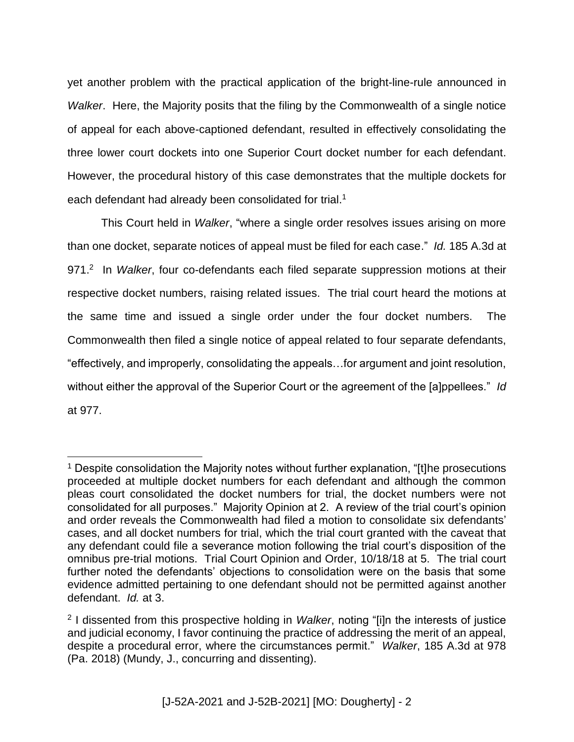yet another problem with the practical application of the bright-line-rule announced in *Walker*. Here, the Majority posits that the filing by the Commonwealth of a single notice of appeal for each above-captioned defendant, resulted in effectively consolidating the three lower court dockets into one Superior Court docket number for each defendant. However, the procedural history of this case demonstrates that the multiple dockets for each defendant had already been consolidated for trial.<sup>1</sup>

This Court held in *Walker*, "where a single order resolves issues arising on more than one docket, separate notices of appeal must be filed for each case." *Id.* 185 A.3d at 971. 2 In *Walker*, four co-defendants each filed separate suppression motions at their respective docket numbers, raising related issues. The trial court heard the motions at the same time and issued a single order under the four docket numbers. The Commonwealth then filed a single notice of appeal related to four separate defendants, "effectively, and improperly, consolidating the appeals…for argument and joint resolution, without either the approval of the Superior Court or the agreement of the [a]ppellees." *Id* at 977.

 $\overline{a}$ 

<sup>&</sup>lt;sup>1</sup> Despite consolidation the Majority notes without further explanation, "[t]he prosecutions proceeded at multiple docket numbers for each defendant and although the common pleas court consolidated the docket numbers for trial, the docket numbers were not consolidated for all purposes." Majority Opinion at 2. A review of the trial court's opinion and order reveals the Commonwealth had filed a motion to consolidate six defendants' cases, and all docket numbers for trial, which the trial court granted with the caveat that any defendant could file a severance motion following the trial court's disposition of the omnibus pre-trial motions. Trial Court Opinion and Order, 10/18/18 at 5. The trial court further noted the defendants' objections to consolidation were on the basis that some evidence admitted pertaining to one defendant should not be permitted against another defendant. *Id.* at 3.

<sup>2</sup> I dissented from this prospective holding in *Walker*, noting "[i]n the interests of justice and judicial economy, I favor continuing the practice of addressing the merit of an appeal, despite a procedural error, where the circumstances permit." *Walker*, 185 A.3d at 978 (Pa. 2018) (Mundy, J., concurring and dissenting).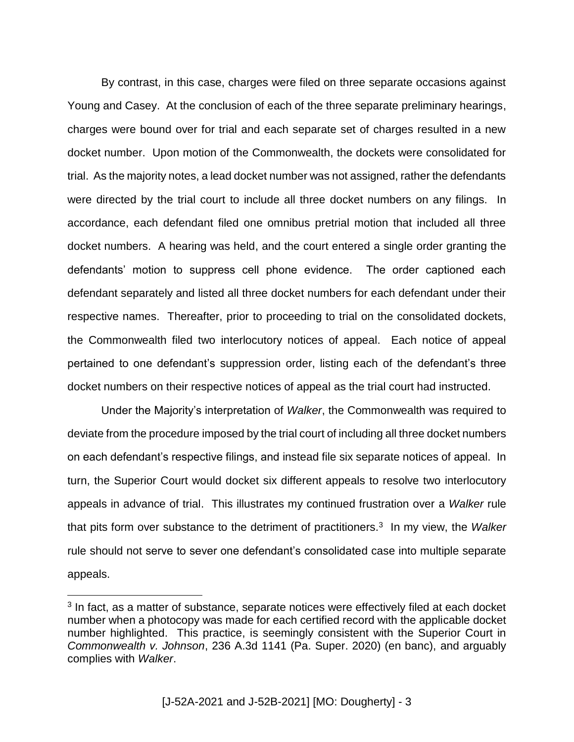By contrast, in this case, charges were filed on three separate occasions against Young and Casey. At the conclusion of each of the three separate preliminary hearings, charges were bound over for trial and each separate set of charges resulted in a new docket number. Upon motion of the Commonwealth, the dockets were consolidated for trial. As the majority notes, a lead docket number was not assigned, rather the defendants were directed by the trial court to include all three docket numbers on any filings. In accordance, each defendant filed one omnibus pretrial motion that included all three docket numbers. A hearing was held, and the court entered a single order granting the defendants' motion to suppress cell phone evidence. The order captioned each defendant separately and listed all three docket numbers for each defendant under their respective names. Thereafter, prior to proceeding to trial on the consolidated dockets, the Commonwealth filed two interlocutory notices of appeal. Each notice of appeal pertained to one defendant's suppression order, listing each of the defendant's three docket numbers on their respective notices of appeal as the trial court had instructed.

Under the Majority's interpretation of *Walker*, the Commonwealth was required to deviate from the procedure imposed by the trial court of including all three docket numbers on each defendant's respective filings, and instead file six separate notices of appeal. In turn, the Superior Court would docket six different appeals to resolve two interlocutory appeals in advance of trial. This illustrates my continued frustration over a *Walker* rule that pits form over substance to the detriment of practitioners.<sup>3</sup> In my view, the *Walker* rule should not serve to sever one defendant's consolidated case into multiple separate appeals.

 $\overline{a}$ 

<sup>&</sup>lt;sup>3</sup> In fact, as a matter of substance, separate notices were effectively filed at each docket number when a photocopy was made for each certified record with the applicable docket number highlighted. This practice, is seemingly consistent with the Superior Court in *Commonwealth v. Johnson*, 236 A.3d 1141 (Pa. Super. 2020) (en banc), and arguably complies with *Walker*.